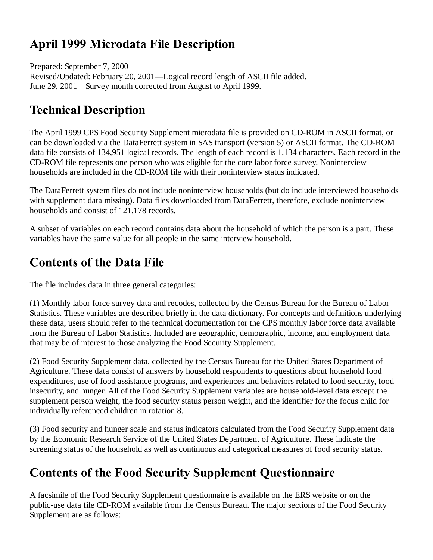## **April 1999 Microdata File Description**

Prepared: September 7, 2000 Revised/Updated: February 20, 2001—Logical record length of ASCII file added. June 29, 2001—Survey month corrected from August to April 1999.

## **Technical Description**

The April 1999 CPS Food Security Supplement microdata file is provided on CD-ROM in ASCII format, or can be downloaded via the DataFerrett system in SAS transport (version 5) or ASCII format. The CD-ROM data file consists of 134,951 logical records. The length of each record is 1,134 characters. Each record in the CD-ROM file represents one person who was eligible for the core labor force survey. Noninterview households are included in the CD-ROM file with their noninterview status indicated.

The DataFerrett system files do not include noninterview households (but do include interviewed households with supplement data missing). Data files downloaded from DataFerrett, therefore, exclude noninterview households and consist of 121,178 records.

A subset of variables on each record contains data about the household of which the person is a part. These variables have the same value for all people in the same interview household.

## **Contents of the Data File**

The file includes data in three general categories:

(1) Monthly labor force survey data and recodes, collected by the Census Bureau for the Bureau of Labor Statistics. These variables are described briefly in the data dictionary. For concepts and definitions underlying these data, users should refer to the technical documentation for the CPS monthly labor force data available from the Bureau of Labor Statistics. Included are geographic, demographic, income, and employment data that may be of interest to those analyzing the Food Security Supplement.

(2) Food Security Supplement data, collected by the Census Bureau for the United States Department of Agriculture. These data consist of answers by household respondents to questions about household food expenditures, use of food assistance programs, and experiences and behaviors related to food security, food insecurity, and hunger. All of the Food Security Supplement variables are household-level data except the supplement person weight, the food security status person weight, and the identifier for the focus child for individually referenced children in rotation 8.

(3) Food security and hunger scale and status indicators calculated from the Food Security Supplement data by the Economic Research Service of the United States Department of Agriculture. These indicate the screening status of the household as well as continuous and categorical measures of food security status.

## **Contents of the Food Security Supplement Questionnaire**

A facsimile of the Food Security Supplement questionnaire is available on the ERS website or on the public-use data file CD-ROM available from the Census Bureau. The major sections of the Food Security Supplement are as follows: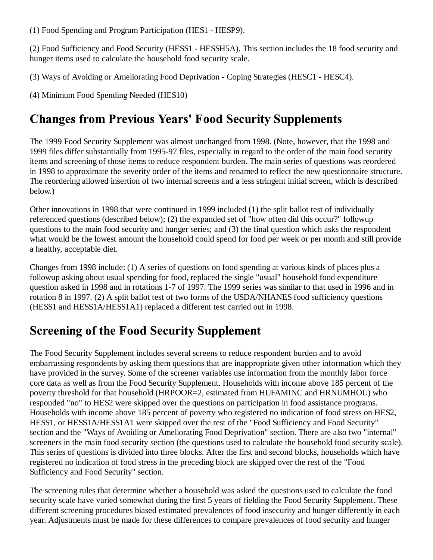(1) Food Spending and Program Participation (HES1 - HESP9).

(2) Food Sufficiency and Food Security (HESS1 - HESSH5A). This section includes the 18 food security and hunger items used to calculate the household food security scale.

(3) Ways of Avoiding or Ameliorating Food Deprivation - Coping Strategies (HESC1 - HESC4).

(4) Minimum Food Spending Needed (HES10)

## **Changes from Previous Years' Food Security Supplements**

The 1999 Food Security Supplement was almost unchanged from 1998. (Note, however, that the 1998 and 1999 files differ substantially from 1995-97 files, especially in regard to the order of the main food security items and screening of those items to reduce respondent burden. The main series of questions was reordered in 1998 to approximate the severity order of the items and renamed to reflect the new questionnaire structure. The reordering allowed insertion of two internal screens and a less stringent initial screen, which is described below.)

Other innovations in 1998 that were continued in 1999 included (1) the split ballot test of individually referenced questions (described below); (2) the expanded set of "how often did this occur?" followup questions to the main food security and hunger series; and (3) the final question which asks the respondent what would be the lowest amount the household could spend for food per week or per month and still provide a healthy, acceptable diet.

Changes from 1998 include: (1) A series of questions on food spending at various kinds of places plus a followup asking about usual spending for food, replaced the single "usual" household food expenditure question asked in 1998 and in rotations 1-7 of 1997. The 1999 series was similar to that used in 1996 and in rotation 8 in 1997. (2) A split ballot test of two forms of the USDA/NHANES food sufficiency questions (HESS1 and HESS1A/HESS1A1) replaced a different test carried out in 1998.

#### **Screening of the Food Security Supplement**

The Food Security Supplement includes several screens to reduce respondent burden and to avoid embarrassing respondents by asking them questions that are inappropriate given other information which they have provided in the survey. Some of the screener variables use information from the monthly labor force core data as well as from the Food Security Supplement. Households with income above 185 percent of the poverty threshold for that household (HRPOOR=2, estimated from HUFAMINC and HRNUMHOU) who responded "no" to HES2 were skipped over the questions on participation in food assistance programs. Households with income above 185 percent of poverty who registered no indication of food stress on HES2, HESS1, or HESS1A/HESS1A1 were skipped over the rest of the "Food Sufficiency and Food Security" section and the "Ways of Avoiding or Ameliorating Food Deprivation" section. There are also two "internal" screeners in the main food security section (the questions used to calculate the household food security scale). This series of questions is divided into three blocks. After the first and second blocks, households which have registered no indication of food stress in the preceding block are skipped over the rest of the "Food Sufficiency and Food Security" section.

The screening rules that determine whether a household was asked the questions used to calculate the food security scale have varied somewhat during the first 5 years of fielding the Food Security Supplement. These different screening procedures biased estimated prevalences of food insecurity and hunger differently in each year. Adjustments must be made for these differences to compare prevalences of food security and hunger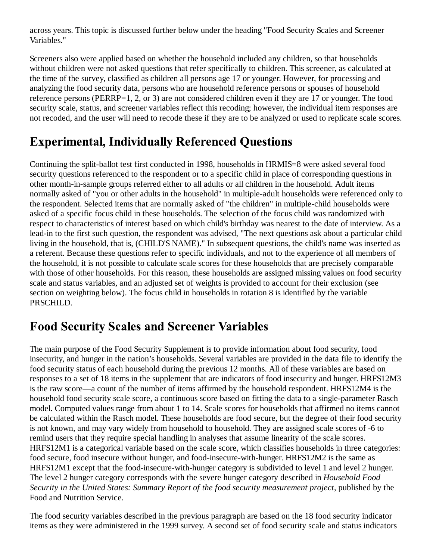across years. This topic is discussed further below under the heading "Food Security Scales and Screener Variables."

Screeners also were applied based on whether the household included any children, so that households without children were not asked questions that refer specifically to children. This screener, as calculated at the time of the survey, classified as children all persons age 17 or younger. However, for processing and analyzing the food security data, persons who are household reference persons or spouses of household reference persons (PERRP=1, 2, or 3) are not considered children even if they are 17 or younger. The food security scale, status, and screener variables reflect this recoding; however, the individual item responses are not recoded, and the user will need to recode these if they are to be analyzed or used to replicate scale scores.

# **Experimental, Individually Referenced Questions**

Continuing the split-ballot test first conducted in 1998, households in HRMIS=8 were asked several food security questions referenced to the respondent or to a specific child in place of corresponding questions in other month-in-sample groups referred either to all adults or all children in the household. Adult items normally asked of "you or other adults in the household" in multiple-adult households were referenced only to the respondent. Selected items that are normally asked of "the children" in multiple-child households were asked of a specific focus child in these households. The selection of the focus child was randomized with respect to characteristics of interest based on which child's birthday was nearest to the date of interview. As a lead-in to the first such question, the respondent was advised, "The next questions ask about a particular child living in the household, that is, (CHILD'S NAME)." In subsequent questions, the child's name was inserted as a referent. Because these questions refer to specific individuals, and not to the experience of all members of the household, it is not possible to calculate scale scores for these households that are precisely comparable with those of other households. For this reason, these households are assigned missing values on food security scale and status variables, and an adjusted set of weights is provided to account for their exclusion (see section on weighting below). The focus child in households in rotation 8 is identified by the variable PRSCHILD.

#### **Food Security Scales and Screener Variables**

The main purpose of the Food Security Supplement is to provide information about food security, food insecurity, and hunger in the nation's households. Several variables are provided in the data file to identify the food security status of each household during the previous 12 months. All of these variables are based on responses to a set of 18 items in the supplement that are indicators of food insecurity and hunger. HRFS12M3 is the raw score—a count of the number of items affirmed by the household respondent. HRFS12M4 is the household food security scale score, a continuous score based on fitting the data to a single-parameter Rasch model. Computed values range from about 1 to 14. Scale scores for households that affirmed no items cannot be calculated within the Rasch model. These households are food secure, but the degree of their food security is not known, and may vary widely from household to household. They are assigned scale scores of -6 to remind users that they require special handling in analyses that assume linearity of the scale scores. HRFS12M1 is a categorical variable based on the scale score, which classifies households in three categories: food secure, food insecure without hunger, and food-insecure-with-hunger. HRFS12M2 is the same as HRFS12M1 except that the food-insecure-with-hunger category is subdivided to level 1 and level 2 hunger. The level 2 hunger category corresponds with the severe hunger category described in *Household Food Security in the United States: Summary Report of the food security measurement project*, published by the Food and Nutrition Service.

The food security variables described in the previous paragraph are based on the 18 food security indicator items as they were administered in the 1999 survey. A second set of food security scale and status indicators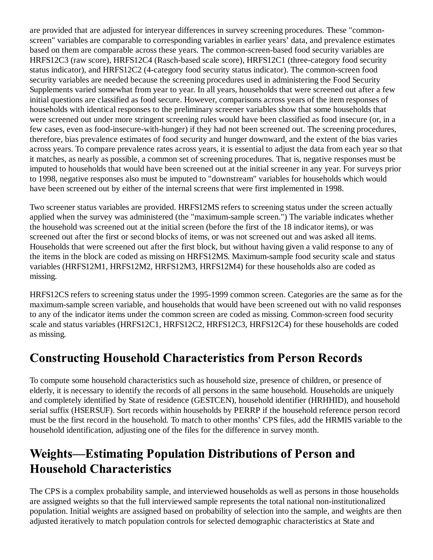are provided that are adjusted for interyear differences in survey screening procedures. These "commonscreen" variables are comparable to corresponding variables in earlier years' data, and prevalence estimates based on them are comparable across these years. The common-screen-based food security variables are HRFS12C3 (raw score), HRFS12C4 (Rasch-based scale score), HRFS12C1 (three-category food security status indicator), and HRFS12C2 (4-category food security status indicator). The common-screen food security variables are needed because the screening procedures used in administering the Food Security Supplements varied somewhat from year to year. In all years, households that were screened out after a few initial questions are classified as food secure. However, comparisons across years of the item responses of households with identical responses to the preliminary screener variables show that some households that were screened out under more stringent screening rules would have been classified as food insecure (or, in a few cases, even as food-insecure-with-hunger) if they had not been screened out. The screening procedures, therefore, bias prevalence estimates of food security and hunger downward, and the extent of the bias varies across years. To compare prevalence rates across years, it is essential to adjust the data from each year so that it matches, as nearly as possible, a common set of screening procedures. That is, negative responses must be imputed to households that would have been screened out at the initial screener in any year. For surveys prior to 1998, negative responses also must be imputed to "downstream" variables for households which would have been screened out by either of the internal screens that were first implemented in 1998.

Two screener status variables are provided. HRFS12MS refers to screening status under the screen actually applied when the survey was administered (the "maximum-sample screen.") The variable indicates whether the household was screened out at the initial screen (before the first of the 18 indicator items), or was screened out after the first or second blocks of items, or was not screened out and was asked all items. Households that were screened out after the first block, but without having given a valid response to any of the items in the block are coded as missing on HRFS12MS. Maximum-sample food security scale and status variables (HRFS12M1, HRFS12M2, HRFS12M3, HRFS12M4) for these households also are coded as missing.

HRFS12CS refers to screening status under the 1995-1999 common screen. Categories are the same as for the maximum-sample screen variable, and households that would have been screened out with no valid responses to any of the indicator items under the common screen are coded as missing. Common-screen food security scale and status variables (HRFS12C1, HRFS12C2, HRFS12C3, HRFS12C4) for these households are coded as missing.

## **Constructing Household Characteristics from Person Records**

To compute some household characteristics such as household size, presence of children, or presence of elderly, it is necessary to identify the records of all persons in the same household. Households are uniquely and completely identified by State of residence (GESTCEN), household identifier (HRHHID), and household serial suffix (HSERSUF). Sort records within households by PERRP if the household reference person record must be the first record in the household. To match to other months' CPS files, add the HRMIS variable to the household identification, adjusting one of the files for the difference in survey month.

## **Weights-Estimating Population Distributions of Person and Household Characteristics**

The CPS is a complex probability sample, and interviewed households as well as persons in those households are assigned weights so that the full interviewed sample represents the total national non-institutionalized population. Initial weights are assigned based on probability of selection into the sample, and weights are then adjusted iteratively to match population controls for selected demographic characteristics at State and